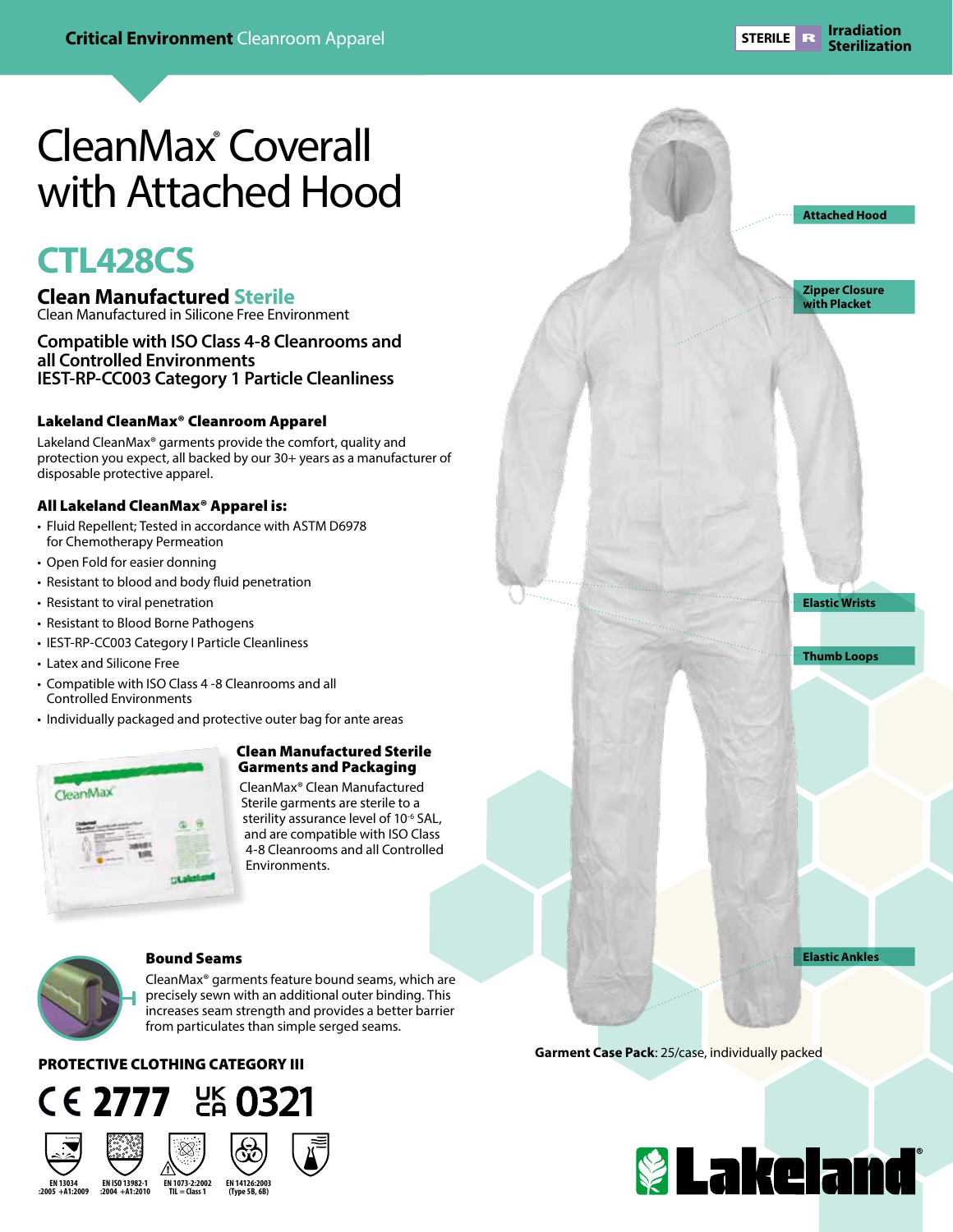**Attached Hood**

**Zipper Closure with Placket**

**Elastic Wrists**

**Thumb Loops**

**Elastic Ankles**

# CleanMax® Coverall with Attached Hood

# **CTL428CS**

## **Clean Manufactured Sterile**

Clean Manufactured in Silicone Free Environment

### **Compatible with ISO Class 4-8 Cleanrooms and all Controlled Environments IEST-RP-CC003 Category 1 Particle Cleanliness**

### Lakeland CleanMax® Cleanroom Apparel

Lakeland CleanMax® garments provide the comfort, quality and protection you expect, all backed by our 30+ years as a manufacturer of disposable protective apparel.

### All Lakeland CleanMax® Apparel is:

- Fluid Repellent; Tested in accordance with ASTM D6978 for Chemotherapy Permeation
- Open Fold for easier donning
- Resistant to blood and body fluid penetration
- Resistant to viral penetration
- Resistant to Blood Borne Pathogens
- IEST-RP-CC003 Category I Particle Cleanliness
- Latex and Silicone Free
- Compatible with ISO Class 4 -8 Cleanrooms and all Controlled Environments
- Individually packaged and protective outer bag for ante areas



#### Clean Manufactured Sterile Garments and Packaging

CleanMax® Clean Manufactured Sterile garments are sterile to a sterility assurance level of 10<sup>-6</sup> SAL, and are compatible with ISO Class 4-8 Cleanrooms and all Controlled Environments.



#### Bound Seams

CleanMax® garments feature bound seams, which are precisely sewn with an additional outer binding. This increases seam strength and provides a better barrier from particulates than simple serged seams.

## PROTECTIVE CLOTHING CATEGORY III



**EN ISO 13982-1 :2004 +A1:2010 EN 13034 :2005 +A1:2009**





**Garment Case Pack**: 25/case, individually packed